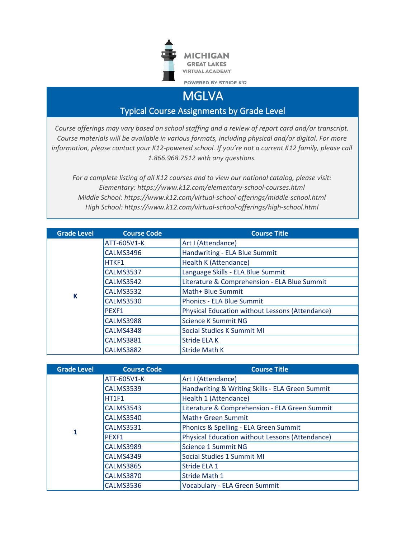

**MGLVA** 

Typical Course Assignments by Grade Level

*Course offerings may vary based on school staffing and a review of report card and/or transcript. Course materials will be available in various formats, including physical and/or digital. For more information, please contact your K12-powered school. If you're not a current K12 family, please call 1.866.968.7512 with any questions.*

*For a complete listing of all K12 courses and to view our national catalog, please visit: Elementary: https://www.k12.com/elementary-school-courses.html Middle School: https://www.k12.com/virtual-school-offerings/middle-school.html High School: https://www.k12.com/virtual-school-offerings/high-school.html*

| <b>Grade Level</b> | <b>Course Code</b> | <b>Course Title</b>                                    |
|--------------------|--------------------|--------------------------------------------------------|
|                    | ATT-605V1-K        | Art I (Attendance)                                     |
|                    | <b>CALMS3496</b>   | Handwriting - ELA Blue Summit                          |
|                    | HTKF1              | Health K (Attendance)                                  |
|                    | <b>CALMS3537</b>   | Language Skills - ELA Blue Summit                      |
|                    | <b>CALMS3542</b>   | Literature & Comprehension - ELA Blue Summit           |
| К                  | <b>CALMS3532</b>   | Math+ Blue Summit                                      |
|                    | <b>CALMS3530</b>   | <b>Phonics - ELA Blue Summit</b>                       |
|                    | PEXF1              | <b>Physical Education without Lessons (Attendance)</b> |
|                    | <b>CALMS3988</b>   | Science K Summit NG                                    |
|                    | CALMS4348          | Social Studies K Summit MI                             |
|                    | <b>CALMS3881</b>   | <b>Stride ELA K</b>                                    |
|                    | <b>CALMS3882</b>   | <b>Stride Math K</b>                                   |

| <b>Grade Level</b> | <b>Course Code</b> | <b>Course Title</b>                                    |
|--------------------|--------------------|--------------------------------------------------------|
|                    | ATT-605V1-K        | Art I (Attendance)                                     |
|                    | <b>CALMS3539</b>   | Handwriting & Writing Skills - ELA Green Summit        |
|                    | HT1F1              | Health 1 (Attendance)                                  |
|                    | <b>CALMS3543</b>   | Literature & Comprehension - ELA Green Summit          |
|                    | <b>CALMS3540</b>   | Math+ Green Summit                                     |
| 1                  | <b>CALMS3531</b>   | Phonics & Spelling - ELA Green Summit                  |
|                    | <b>PEXF1</b>       | <b>Physical Education without Lessons (Attendance)</b> |
|                    | <b>CALMS3989</b>   | Science 1 Summit NG                                    |
|                    | <b>CALMS4349</b>   | Social Studies 1 Summit MI                             |
|                    | <b>CALMS3865</b>   | Stride ELA 1                                           |
|                    | <b>CALMS3870</b>   | <b>Stride Math 1</b>                                   |
|                    | <b>CALMS3536</b>   | Vocabulary - ELA Green Summit                          |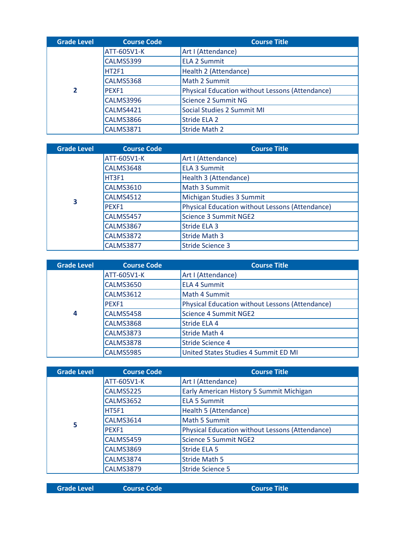| <b>Grade Level</b> | <b>Course Code</b> | <b>Course Title</b>                                    |
|--------------------|--------------------|--------------------------------------------------------|
|                    | ATT-605V1-K        | Art I (Attendance)                                     |
|                    | <b>CALMS5399</b>   | <b>ELA 2 Summit</b>                                    |
|                    | HT2F1              | Health 2 (Attendance)                                  |
| $\overline{2}$     | <b>CALMS5368</b>   | Math 2 Summit                                          |
|                    | <b>PEXF1</b>       | <b>Physical Education without Lessons (Attendance)</b> |
|                    | <b>CALMS3996</b>   | Science 2 Summit NG                                    |
|                    | <b>CALMS4421</b>   | Social Studies 2 Summit MI                             |
|                    | <b>CALMS3866</b>   | <b>Stride ELA 2</b>                                    |
|                    | <b>CALMS3871</b>   | <b>Stride Math 2</b>                                   |

| <b>Grade Level</b>      | <b>Course Code</b> | <b>Course Title</b>                                    |
|-------------------------|--------------------|--------------------------------------------------------|
|                         | ATT-605V1-K        | Art I (Attendance)                                     |
|                         | <b>CALMS3648</b>   | <b>ELA 3 Summit</b>                                    |
|                         | HT3F1              | Health 3 (Attendance)                                  |
| $\overline{\mathbf{3}}$ | <b>CALMS3610</b>   | Math 3 Summit                                          |
|                         | <b>CALMS4512</b>   | Michigan Studies 3 Summit                              |
|                         | PEXF1              | <b>Physical Education without Lessons (Attendance)</b> |
|                         | <b>CALMS5457</b>   | <b>Science 3 Summit NGE2</b>                           |
|                         | <b>CALMS3867</b>   | Stride ELA 3                                           |
|                         | <b>CALMS3872</b>   | <b>Stride Math 3</b>                                   |
|                         | <b>CALMS3877</b>   | <b>Stride Science 3</b>                                |

| <b>Grade Level</b> | <b>Course Code</b> | <b>Course Title</b>                             |
|--------------------|--------------------|-------------------------------------------------|
|                    | ATT-605V1-K        | Art I (Attendance)                              |
|                    | <b>CALMS3650</b>   | <b>ELA 4 Summit</b>                             |
|                    | <b>CALMS3612</b>   | Math 4 Summit                                   |
| $\boldsymbol{4}$   | <b>PEXF1</b>       | Physical Education without Lessons (Attendance) |
|                    | <b>CALMS5458</b>   | <b>Science 4 Summit NGE2</b>                    |
|                    | <b>CALMS3868</b>   | Stride ELA 4                                    |
|                    | <b>CALMS3873</b>   | <b>Stride Math 4</b>                            |
|                    | <b>CALMS3878</b>   | <b>Stride Science 4</b>                         |
|                    | <b>CALMS5985</b>   | United States Studies 4 Summit ED MI            |

| <b>Grade Level</b> | <b>Course Code</b> | <b>Course Title</b>                                    |
|--------------------|--------------------|--------------------------------------------------------|
|                    | ATT-605V1-K        | Art I (Attendance)                                     |
|                    | <b>CALMS5225</b>   | Early American History 5 Summit Michigan               |
|                    | <b>CALMS3652</b>   | <b>ELA 5 Summit</b>                                    |
|                    | HT5F1              | Health 5 (Attendance)                                  |
| 5                  | <b>CALMS3614</b>   | Math 5 Summit                                          |
|                    | PEXF1              | <b>Physical Education without Lessons (Attendance)</b> |
|                    | <b>CALMS5459</b>   | <b>Science 5 Summit NGE2</b>                           |
|                    | <b>CALMS3869</b>   | Stride ELA 5                                           |
|                    | <b>CALMS3874</b>   | <b>Stride Math 5</b>                                   |
|                    | <b>CALMS3879</b>   | <b>Stride Science 5</b>                                |

**Grade Level Course Code Course Title**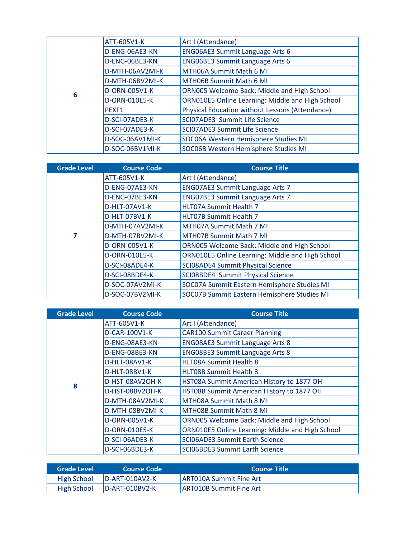|   | ATT-605V1-K     | Art I (Attendance)                                     |
|---|-----------------|--------------------------------------------------------|
|   | D-ENG-06AE3-KN  | ENG06AE3 Summit Language Arts 6                        |
|   | D-ENG-06BE3-KN  | <b>ENG06BE3 Summit Language Arts 6</b>                 |
|   | D-MTH-06AV2MI-K | MTH06A Summit Math 6 MI                                |
|   | D-MTH-06BV2MI-K | MTH06B Summit Math 6 MI                                |
| 6 | D-ORN-005V1-K   | ORN005 Welcome Back: Middle and High School            |
|   | D-ORN-010E5-K   | ORN010E5 Online Learning: Middle and High School       |
|   | PEXF1           | <b>Physical Education without Lessons (Attendance)</b> |
|   | D-SCI-07ADE3-K  | SCI07ADE3 Summit Life Science                          |
|   | D-SCI-07ADE3-K  | <b>SCI07ADE3 Summit Life Science</b>                   |
|   | D-SOC-06AV1MI-K | SOC06A Western Hemisphere Studies MI                   |
|   | D-SOC-06BV1MI-K | SOC06B Western Hemisphere Studies MI                   |

| <b>Grade Level</b> | <b>Course Code</b> | <b>Course Title</b>                              |
|--------------------|--------------------|--------------------------------------------------|
|                    | ATT-605V1-K        | Art I (Attendance)                               |
|                    | D-ENG-07AE3-KN     | <b>ENG07AE3 Summit Language Arts 7</b>           |
|                    | D-ENG-07BE3-KN     | <b>ENG07BE3 Summit Language Arts 7</b>           |
|                    | D-HLT-07AV1-K      | HLT07A Summit Health 7                           |
|                    | D-HLT-07BV1-K      | <b>HLT07B Summit Health 7</b>                    |
|                    | D-MTH-07AV2MI-K    | MTH07A Summit Math 7 MI                          |
| 7                  | D-MTH-07BV2MI-K    | <b>MTH07B Summit Math 7 MI</b>                   |
|                    | D-ORN-005V1-K      | ORN005 Welcome Back: Middle and High School      |
|                    | D-ORN-010E5-K      | ORN010E5 Online Learning: Middle and High School |
|                    | D-SCI-08ADE4-K     | <b>SCIO8ADE4 Summit Physical Science</b>         |
|                    | D-SCI-08BDE4-K     | SCI08BDE4 Summit Physical Science                |
|                    | D-SOC-07AV2MI-K    | SOC07A Summit Eastern Hemisphere Studies MI      |
|                    | D-SOC-07BV2MI-K    | SOC07B Summit Eastern Hemisphere Studies MI      |

| <b>Grade Level</b> | <b>Course Code</b> | <b>Course Title</b>                              |
|--------------------|--------------------|--------------------------------------------------|
|                    | ATT-605V1-K        | Art I (Attendance)                               |
|                    | D-CAR-100V1-K      | <b>CAR100 Summit Career Planning</b>             |
|                    | D-ENG-08AE3-KN     | <b>ENG08AE3 Summit Language Arts 8</b>           |
|                    | D-ENG-08BE3-KN     | <b>ENG08BE3 Summit Language Arts 8</b>           |
|                    | D-HLT-08AV1-K      | <b>HLT08A Summit Health 8</b>                    |
|                    | D-HLT-08BV1-K      | <b>HLT08B Summit Health 8</b>                    |
| 8                  | D-HST-08AV2OH-K    | HST08A Summit American History to 1877 OH        |
|                    | D-HST-08BV2OH-K    | HST08B Summit American History to 1877 OH        |
|                    | D-MTH-08AV2MI-K    | MTH08A Summit Math 8 MI                          |
|                    | D-MTH-08BV2MI-K    | <b>MTH08B Summit Math 8 MI</b>                   |
|                    | D-ORN-005V1-K      | ORN005 Welcome Back: Middle and High School      |
|                    | D-ORN-010E5-K      | ORN010E5 Online Learning: Middle and High School |
|                    | D-SCI-06ADE3-K     | <b>SCIO6ADE3 Summit Earth Science</b>            |
|                    | D-SCI-06BDE3-K     | <b>SCIO6BDE3 Summit Earth Science</b>            |

| Grade Level | Course Code '     | <b>Course Title</b>             |
|-------------|-------------------|---------------------------------|
| High School | $ID-ART-010AV2-K$ | <b>JART010A Summit Fine Art</b> |
| High School | ID-ART-010BV2-K   | <b>ART010B Summit Fine Art</b>  |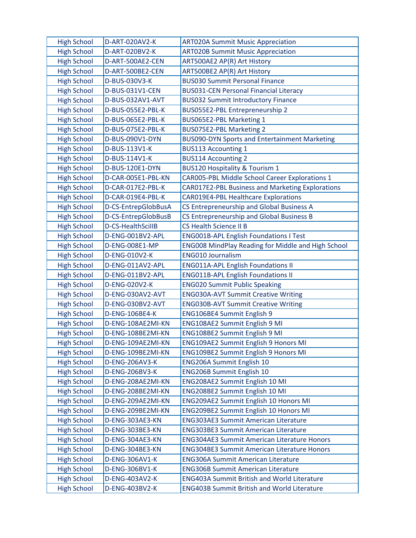| <b>High School</b> | D-ART-020AV2-K      | <b>ART020A Summit Music Appreciation</b>                  |
|--------------------|---------------------|-----------------------------------------------------------|
| <b>High School</b> | D-ART-020BV2-K      | <b>ART020B Summit Music Appreciation</b>                  |
| <b>High School</b> | D-ART-500AE2-CEN    | ART500AE2 AP(R) Art History                               |
| <b>High School</b> | D-ART-500BE2-CEN    | ART500BE2 AP(R) Art History                               |
| <b>High School</b> | D-BUS-030V3-K       | <b>BUS030 Summit Personal Finance</b>                     |
| <b>High School</b> | D-BUS-031V1-CEN     | <b>BUS031-CEN Personal Financial Literacy</b>             |
| <b>High School</b> | D-BUS-032AV1-AVT    | <b>BUS032 Summit Introductory Finance</b>                 |
| <b>High School</b> | D-BUS-055E2-PBL-K   | BUS055E2-PBL Entrepreneurship 2                           |
| <b>High School</b> | D-BUS-065E2-PBL-K   | BUS065E2-PBL Marketing 1                                  |
| <b>High School</b> | D-BUS-075E2-PBL-K   | BUS075E2-PBL Marketing 2                                  |
| <b>High School</b> | D-BUS-090V1-DYN     | <b>BUS090-DYN Sports and Entertainment Marketing</b>      |
| <b>High School</b> | D-BUS-113V1-K       | <b>BUS113 Accounting 1</b>                                |
| <b>High School</b> | D-BUS-114V1-K       | <b>BUS114 Accounting 2</b>                                |
| <b>High School</b> | D-BUS-120E1-DYN     | <b>BUS120 Hospitality &amp; Tourism 1</b>                 |
| <b>High School</b> | D-CAR-005E1-PBL-KN  | CAR005-PBL Middle School Career Explorations 1            |
| <b>High School</b> | D-CAR-017E2-PBL-K   | <b>CAR017E2-PBL Business and Marketing Explorations</b>   |
| <b>High School</b> | D-CAR-019E4-PBL-K   | <b>CAR019E4-PBL Healthcare Explorations</b>               |
| <b>High School</b> | D-CS-EntrepGlobBusA | CS Entrepreneurship and Global Business A                 |
| <b>High School</b> | D-CS-EntrepGlobBusB | CS Entrepreneurship and Global Business B                 |
| <b>High School</b> | D-CS-HealthScillB   | <b>CS Health Science II B</b>                             |
| <b>High School</b> | D-ENG-001BV2-APL    | <b>ENG001B-APL English Foundations I Test</b>             |
| <b>High School</b> | D-ENG-008E1-MP      | <b>ENG008 MindPlay Reading for Middle and High School</b> |
| <b>High School</b> | D-ENG-010V2-K       | <b>ENG010 Journalism</b>                                  |
| <b>High School</b> | D-ENG-011AV2-APL    | <b>ENG011A-APL English Foundations II</b>                 |
| <b>High School</b> | D-ENG-011BV2-APL    | <b>ENG011B-APL English Foundations II</b>                 |
| <b>High School</b> | D-ENG-020V2-K       | <b>ENG020 Summit Public Speaking</b>                      |
| <b>High School</b> | D-ENG-030AV2-AVT    | <b>ENG030A-AVT Summit Creative Writing</b>                |
| <b>High School</b> | D-ENG-030BV2-AVT    | <b>ENG030B-AVT Summit Creative Writing</b>                |
| <b>High School</b> | D-ENG-106BE4-K      | ENG106BE4 Summit English 9                                |
| <b>High School</b> | D-ENG-108AE2MI-KN   | ENG108AE2 Summit English 9 MI                             |
| <b>High School</b> | D-ENG-108BE2MI-KN   | ENG108BE2 Summit English 9 MI                             |
| <b>High School</b> | D-ENG-109AE2MI-KN   | <b>ENG109AE2 Summit English 9 Honors MI</b>               |
| <b>High School</b> | D-ENG-109BE2MI-KN   | ENG109BE2 Summit English 9 Honors MI                      |
| <b>High School</b> | D-ENG-206AV3-K      | <b>ENG206A Summit English 10</b>                          |
| <b>High School</b> | D-ENG-206BV3-K      | <b>ENG206B Summit English 10</b>                          |
| <b>High School</b> | D-ENG-208AE2MI-KN   | ENG208AE2 Summit English 10 MI                            |
| <b>High School</b> | D-ENG-208BE2MI-KN   | ENG208BE2 Summit English 10 MI                            |
| <b>High School</b> | D-ENG-209AE2MI-KN   | <b>ENG209AE2 Summit English 10 Honors MI</b>              |
| <b>High School</b> | D-ENG-209BE2MI-KN   | <b>ENG209BE2 Summit English 10 Honors MI</b>              |
| <b>High School</b> | D-ENG-303AE3-KN     | <b>ENG303AE3 Summit American Literature</b>               |
| <b>High School</b> | D-ENG-303BE3-KN     | <b>ENG303BE3 Summit American Literature</b>               |
| <b>High School</b> | D-ENG-304AE3-KN     | <b>ENG304AE3 Summit American Literature Honors</b>        |
| <b>High School</b> | D-ENG-304BE3-KN     | <b>ENG304BE3 Summit American Literature Honors</b>        |
| <b>High School</b> | D-ENG-306AV1-K      | <b>ENG306A Summit American Literature</b>                 |
| <b>High School</b> | D-ENG-306BV1-K      | <b>ENG306B Summit American Literature</b>                 |
| <b>High School</b> | D-ENG-403AV2-K      | <b>ENG403A Summit British and World Literature</b>        |
| <b>High School</b> | D-ENG-403BV2-K      | <b>ENG403B Summit British and World Literature</b>        |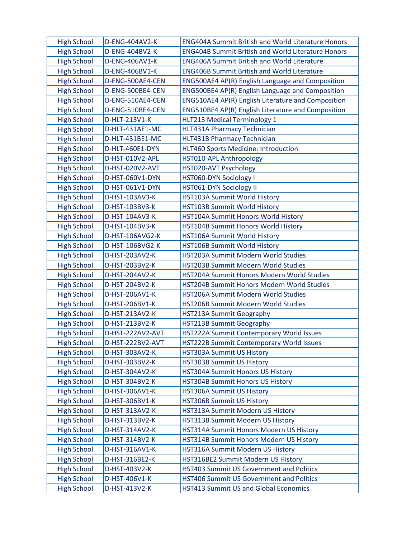| <b>High School</b> | D-ENG-404AV2-K   | <b>ENG404A Summit British and World Literature Honors</b> |
|--------------------|------------------|-----------------------------------------------------------|
| <b>High School</b> | D-ENG-404BV2-K   | <b>ENG404B Summit British and World Literature Honors</b> |
| <b>High School</b> | D-ENG-406AV1-K   | <b>ENG406A Summit British and World Literature</b>        |
| <b>High School</b> | D-ENG-406BV1-K   | <b>ENG406B Summit British and World Literature</b>        |
| <b>High School</b> | D-ENG-500AE4-CEN | ENG500AE4 AP(R) English Language and Composition          |
| <b>High School</b> | D-ENG-500BE4-CEN | ENG500BE4 AP(R) English Language and Composition          |
| <b>High School</b> | D-ENG-510AE4-CEN | ENG510AE4 AP(R) English Literature and Composition        |
| <b>High School</b> | D-ENG-510BE4-CEN | ENG510BE4 AP(R) English Literature and Composition        |
| <b>High School</b> | D-HLT-213V1-K    | HLT213 Medical Terminology 1                              |
| <b>High School</b> | D-HLT-431AE1-MC  | HLT431A Pharmacy Technician                               |
| <b>High School</b> | D-HLT-431BE1-MC  | HLT431B Pharmacy Technician                               |
| <b>High School</b> | D-HLT-460E1-DYN  | HLT460 Sports Medicine: Introduction                      |
| <b>High School</b> | D-HST-010V2-APL  | HST010-APL Anthropology                                   |
| <b>High School</b> | D-HST-020V2-AVT  | HST020-AVT Psychology                                     |
| <b>High School</b> | D-HST-060V1-DYN  | <b>HST060-DYN Sociology I</b>                             |
| <b>High School</b> | D-HST-061V1-DYN  | <b>HST061-DYN Sociology II</b>                            |
| <b>High School</b> | D-HST-103AV3-K   | HST103A Summit World History                              |
| <b>High School</b> | D-HST-103BV3-K   | HST103B Summit World History                              |
| <b>High School</b> | D-HST-104AV3-K   | HST104A Summit Honors World History                       |
| <b>High School</b> | D-HST-104BV3-K   | HST104B Summit Honors World History                       |
| <b>High School</b> | D-HST-106AVG2-K  | HST106A Summit World History                              |
| <b>High School</b> | D-HST-106BVG2-K  | HST106B Summit World History                              |
| <b>High School</b> | D-HST-203AV2-K   | HST203A Summit Modern World Studies                       |
| <b>High School</b> | D-HST-203BV2-K   | HST203B Summit Modern World Studies                       |
| <b>High School</b> | D-HST-204AV2-K   | HST204A Summit Honors Modern World Studies                |
| <b>High School</b> | D-HST-204BV2-K   | HST204B Summit Honors Modern World Studies                |
| <b>High School</b> | D-HST-206AV1-K   | HST206A Summit Modern World Studies                       |
| <b>High School</b> | D-HST-206BV1-K   | HST206B Summit Modern World Studies                       |
| <b>High School</b> | D-HST-213AV2-K   | <b>HST213A Summit Geography</b>                           |
| <b>High School</b> | D-HST-213BV2-K   | <b>HST213B Summit Geography</b>                           |
| <b>High School</b> | D-HST-222AV2-AVT | HST222A Summit Contemporary World Issues                  |
| <b>High School</b> | D-HST-222BV2-AVT | HST222B Summit Contemporary World Issues                  |
| <b>High School</b> | D-HST-303AV2-K   | <b>HST303A Summit US History</b>                          |
| <b>High School</b> | D-HST-303BV2-K   | <b>HST303B Summit US History</b>                          |
| <b>High School</b> | D-HST-304AV2-K   | HST304A Summit Honors US History                          |
| <b>High School</b> | D-HST-304BV2-K   | HST304B Summit Honors US History                          |
| <b>High School</b> | D-HST-306AV1-K   | HST306A Summit US History                                 |
| <b>High School</b> | D-HST-306BV1-K   | <b>HST306B Summit US History</b>                          |
| <b>High School</b> | D-HST-313AV2-K   | HST313A Summit Modern US History                          |
| <b>High School</b> | D-HST-313BV2-K   | HST313B Summit Modern US History                          |
| <b>High School</b> | D-HST-314AV2-K   | HST314A Summit Honors Modern US History                   |
| <b>High School</b> | D-HST-314BV2-K   | HST314B Summit Honors Modern US History                   |
| <b>High School</b> | D-HST-316AV1-K   | HST316A Summit Modern US History                          |
| <b>High School</b> | D-HST-316BE2-K   | HST316BE2 Summit Modern US History                        |
| <b>High School</b> | D-HST-403V2-K    | <b>HST403 Summit US Government and Politics</b>           |
| <b>High School</b> | D-HST-406V1-K    | <b>HST406 Summit US Government and Politics</b>           |
| <b>High School</b> | D-HST-413V2-K    | <b>HST413 Summit US and Global Economics</b>              |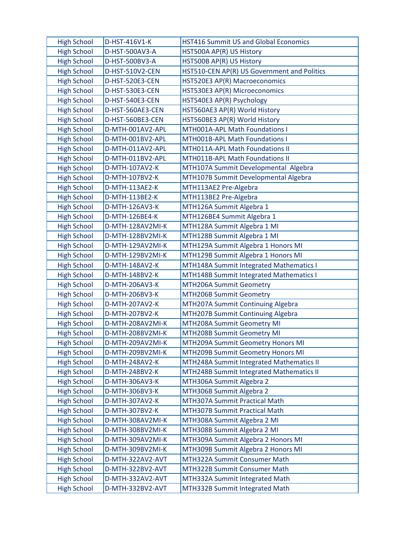| <b>High School</b> | D-HST-416V1-K    | HST416 Summit US and Global Economics       |
|--------------------|------------------|---------------------------------------------|
| <b>High School</b> | D-HST-500AV3-A   | HST500A AP(R) US History                    |
| <b>High School</b> | D-HST-500BV3-A   | HST500B AP(R) US History                    |
| <b>High School</b> | D-HST-510V2-CEN  | HST510-CEN AP(R) US Government and Politics |
| <b>High School</b> | D-HST-520E3-CEN  | HST520E3 AP(R) Macroeconomics               |
| <b>High School</b> | D-HST-530E3-CEN  | HST530E3 AP(R) Microeconomics               |
| <b>High School</b> | D-HST-540E3-CEN  | HST540E3 AP(R) Psychology                   |
| <b>High School</b> | D-HST-560AE3-CEN | HST560AE3 AP(R) World History               |
| <b>High School</b> | D-HST-560BE3-CEN | HST560BE3 AP(R) World History               |
| <b>High School</b> | D-MTH-001AV2-APL | MTH001A-APL Math Foundations I              |
| <b>High School</b> | D-MTH-001BV2-APL | MTH001B-APL Math Foundations I              |
| <b>High School</b> | D-MTH-011AV2-APL | MTH011A-APL Math Foundations II             |
| <b>High School</b> | D-MTH-011BV2-APL | MTH011B-APL Math Foundations II             |
| <b>High School</b> | D-MTH-107AV2-K   | MTH107A Summit Developmental Algebra        |
| <b>High School</b> | D-MTH-107BV2-K   | MTH107B Summit Developmental Algebra        |
| <b>High School</b> | D-MTH-113AE2-K   | MTH113AE2 Pre-Algebra                       |
| <b>High School</b> | D-MTH-113BE2-K   | MTH113BE2 Pre-Algebra                       |
| <b>High School</b> | D-MTH-126AV3-K   | MTH126A Summit Algebra 1                    |
| <b>High School</b> | D-MTH-126BE4-K   | MTH126BE4 Summit Algebra 1                  |
| <b>High School</b> | D-MTH-128AV2MI-K | MTH128A Summit Algebra 1 MI                 |
| <b>High School</b> | D-MTH-128BV2MI-K | MTH128B Summit Algebra 1 MI                 |
| <b>High School</b> | D-MTH-129AV2MI-K | MTH129A Summit Algebra 1 Honors MI          |
| <b>High School</b> | D-MTH-129BV2MI-K | MTH129B Summit Algebra 1 Honors MI          |
| <b>High School</b> | D-MTH-148AV2-K   | MTH148A Summit Integrated Mathematics I     |
| <b>High School</b> | D-MTH-148BV2-K   | MTH148B Summit Integrated Mathematics I     |
| <b>High School</b> | D-MTH-206AV3-K   | MTH206A Summit Geometry                     |
| <b>High School</b> | D-MTH-206BV3-K   | MTH206B Summit Geometry                     |
| <b>High School</b> | D-MTH-207AV2-K   | MTH207A Summit Continuing Algebra           |
| <b>High School</b> | D-MTH-207BV2-K   | MTH207B Summit Continuing Algebra           |
| <b>High School</b> | D-MTH-208AV2MI-K | MTH208A Summit Geometry MI                  |
| <b>High School</b> | D-MTH-208BV2MI-K | MTH208B Summit Geometry MI                  |
| <b>High School</b> | D-MTH-209AV2MI-K | MTH209A Summit Geometry Honors MI           |
| <b>High School</b> | D-MTH-209BV2MI-K | MTH209B Summit Geometry Honors MI           |
| <b>High School</b> | D-MTH-248AV2-K   | MTH248A Summit Integrated Mathematics II    |
| <b>High School</b> | D-MTH-248BV2-K   | MTH248B Summit Integrated Mathematics II    |
| <b>High School</b> | D-MTH-306AV3-K   | MTH306A Summit Algebra 2                    |
| <b>High School</b> | D-MTH-306BV3-K   | MTH306B Summit Algebra 2                    |
| <b>High School</b> | D-MTH-307AV2-K   | MTH307A Summit Practical Math               |
| <b>High School</b> | D-MTH-307BV2-K   | MTH307B Summit Practical Math               |
| <b>High School</b> | D-MTH-308AV2MI-K | MTH308A Summit Algebra 2 MI                 |
| <b>High School</b> | D-MTH-308BV2MI-K | MTH308B Summit Algebra 2 MI                 |
| <b>High School</b> | D-MTH-309AV2MI-K | MTH309A Summit Algebra 2 Honors MI          |
| <b>High School</b> | D-MTH-309BV2MI-K | MTH309B Summit Algebra 2 Honors MI          |
| <b>High School</b> | D-MTH-322AV2-AVT | MTH322A Summit Consumer Math                |
| <b>High School</b> | D-MTH-322BV2-AVT | MTH322B Summit Consumer Math                |
| <b>High School</b> | D-MTH-332AV2-AVT | MTH332A Summit Integrated Math              |
| <b>High School</b> | D-MTH-332BV2-AVT | MTH332B Summit Integrated Math              |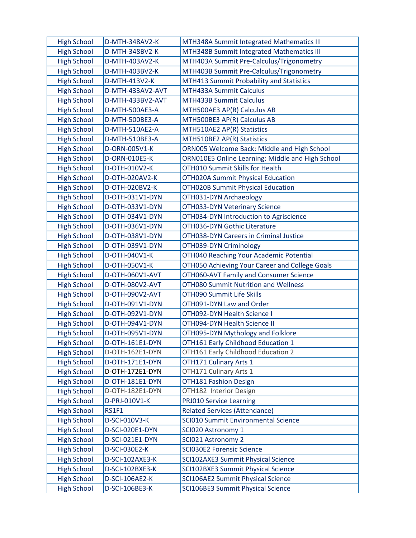| <b>High School</b> | D-MTH-348AV2-K   | MTH348A Summit Integrated Mathematics III        |
|--------------------|------------------|--------------------------------------------------|
| <b>High School</b> | D-MTH-348BV2-K   | MTH348B Summit Integrated Mathematics III        |
| <b>High School</b> | D-MTH-403AV2-K   | MTH403A Summit Pre-Calculus/Trigonometry         |
| <b>High School</b> | D-MTH-403BV2-K   | MTH403B Summit Pre-Calculus/Trigonometry         |
| <b>High School</b> | D-MTH-413V2-K    | MTH413 Summit Probability and Statistics         |
| <b>High School</b> | D-MTH-433AV2-AVT | MTH433A Summit Calculus                          |
| <b>High School</b> | D-MTH-433BV2-AVT | MTH433B Summit Calculus                          |
| <b>High School</b> | D-MTH-500AE3-A   | MTH500AE3 AP(R) Calculus AB                      |
| <b>High School</b> | D-MTH-500BE3-A   | MTH500BE3 AP(R) Calculus AB                      |
| <b>High School</b> | D-MTH-510AE2-A   | MTH510AE2 AP(R) Statistics                       |
| <b>High School</b> | D-MTH-510BE3-A   | MTH510BE2 AP(R) Statistics                       |
| <b>High School</b> | D-ORN-005V1-K    | ORN005 Welcome Back: Middle and High School      |
| <b>High School</b> | D-ORN-010E5-K    | ORN010E5 Online Learning: Middle and High School |
| <b>High School</b> | D-OTH-010V2-K    | <b>OTH010 Summit Skills for Health</b>           |
| <b>High School</b> | D-OTH-020AV2-K   | <b>OTH020A Summit Physical Education</b>         |
| <b>High School</b> | D-OTH-020BV2-K   | <b>OTH020B Summit Physical Education</b>         |
| <b>High School</b> | D-OTH-031V1-DYN  | OTH031-DYN Archaeology                           |
| <b>High School</b> | D-OTH-033V1-DYN  | <b>OTH033-DYN Veterinary Science</b>             |
| <b>High School</b> | D-OTH-034V1-DYN  | OTH034-DYN Introduction to Agriscience           |
| <b>High School</b> | D-OTH-036V1-DYN  | OTH036-DYN Gothic Literature                     |
| <b>High School</b> | D-OTH-038V1-DYN  | OTH038-DYN Careers in Criminal Justice           |
| <b>High School</b> | D-OTH-039V1-DYN  | OTH039-DYN Criminology                           |
| <b>High School</b> | D-OTH-040V1-K    | OTH040 Reaching Your Academic Potential          |
| <b>High School</b> | D-OTH-050V1-K    | OTH050 Achieving Your Career and College Goals   |
| <b>High School</b> | D-OTH-060V1-AVT  | OTH060-AVT Family and Consumer Science           |
| <b>High School</b> | D-OTH-080V2-AVT  | <b>OTH080 Summit Nutrition and Wellness</b>      |
| <b>High School</b> | D-OTH-090V2-AVT  | OTH090 Summit Life Skills                        |
| <b>High School</b> | D-OTH-091V1-DYN  | OTH091-DYN Law and Order                         |
| <b>High School</b> | D-OTH-092V1-DYN  | OTH092-DYN Health Science I                      |
| <b>High School</b> | D-OTH-094V1-DYN  | OTH094-DYN Health Science II                     |
| <b>High School</b> | D-OTH-095V1-DYN  | OTH095-DYN Mythology and Folklore                |
| <b>High School</b> | D-OTH-161E1-DYN  | OTH161 Early Childhood Education 1               |
| <b>High School</b> | D-OTH-162E1-DYN  | OTH161 Early Childhood Education 2               |
| <b>High School</b> | D-OTH-171E1-DYN  | OTH171 Culinary Arts 1                           |
| <b>High School</b> | D-OTH-172E1-DYN  | OTH171 Culinary Arts 1                           |
| <b>High School</b> | D-OTH-181E1-DYN  | <b>OTH181 Fashion Design</b>                     |
| <b>High School</b> | D-OTH-182E1-DYN  | OTH182 Interior Design                           |
| <b>High School</b> | D-PRJ-010V1-K    | <b>PRJ010 Service Learning</b>                   |
| <b>High School</b> | RS1F1            | <b>Related Services (Attendance)</b>             |
| <b>High School</b> | D-SCI-010V3-K    | <b>SCI010 Summit Environmental Science</b>       |
| <b>High School</b> | D-SCI-020E1-DYN  | SCI020 Astronomy 1                               |
| <b>High School</b> | D-SCI-021E1-DYN  | SCI021 Astronomy 2                               |
| <b>High School</b> | D-SCI-030E2-K    | <b>SCI030E2 Forensic Science</b>                 |
| <b>High School</b> | D-SCI-102AXE3-K  | SCI102AXE3 Summit Physical Science               |
| <b>High School</b> | D-SCI-102BXE3-K  | SCI102BXE3 Summit Physical Science               |
| <b>High School</b> | D-SCI-106AE2-K   | SCI106AE2 Summit Physical Science                |
| <b>High School</b> | D-SCI-106BE3-K   | SCI106BE3 Summit Physical Science                |